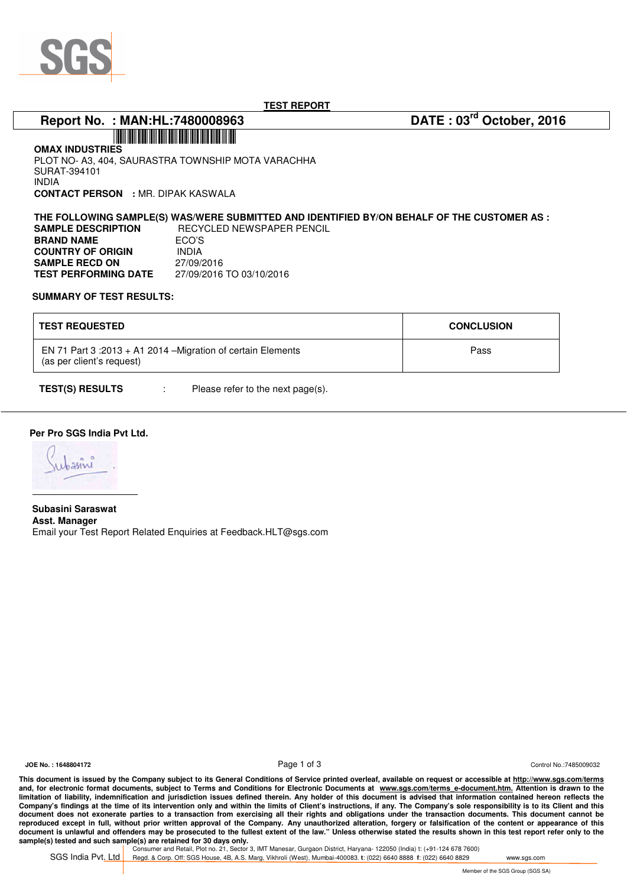

**TEST REPORT** 

# **Report No. : MAN:HL:7480008963 DATE : 03rd October, 2016**

**OMAX INDUSTRIES**  PLOT NO- A3, 404, SAURASTRA TOWNSHIP MOTA VARACHHA SURAT-394101 INDIA **CONTACT PERSON :** MR. DIPAK KASWALA

\*7480008963\*

**THE FOLLOWING SAMPLE(S) WAS/WERE SUBMITTED AND IDENTIFIED BY/ON BEHALF OF THE CUSTOMER AS : SAMPLE DESCRIPTION** RECYCLED NEWSPAPER PENCIL **BRAND NAME** ECO'S<br>**COUNTRY OF ORIGIN** INDIA **COUNTRY OF ORIGIN SAMPLE RECD ON** 27/09/2016 **TEST PERFORMING DATE** 27/09/2016 TO 03/10/2016

### **SUMMARY OF TEST RESULTS:**

| <b>TEST REQUESTED</b>                                                                      | <b>CONCLUSION</b> |
|--------------------------------------------------------------------------------------------|-------------------|
| EN 71 Part $3:2013 + A1$ 2014 – Migration of certain Elements<br>(as per client's request) | Pass              |

**TEST(S) RESULTS** : Please refer to the next page(s).

## **Per Pro SGS India Pvt Ltd.**

 **Subasini Saraswat Asst. Manager**  Email your Test Report Related Enquiries at Feedback.HLT@sgs.com

**JOE No. : 1648804172** Control No.:7485009032

**This document is issued by the Company subject to its General Conditions of Service printed overleaf, available on request or accessible at http://www.sgs.com/terms** and, for electronic format documents, subject to Terms and Conditions for Electronic Documents at www.sgs.com/terms\_e-document.htm. Attention is drawn to the limitation of liability, indemnification and jurisdiction issues defined therein. Any holder of this document is advised that information contained hereon reflects the **Company's findings at the time of its intervention only and within the limits of Client's instructions, if any. The Company's sole responsibility is to its Client and this document does not exonerate parties to a transaction from exercising all their rights and obligations under the transaction documents. This document cannot be reproduced except in full, without prior written approval of the Company. Any unauthorized alteration, forgery or falsification of the content or appearance of this document is unlawful and offenders may be prosecuted to the fullest extent of the law." Unless otherwise stated the results shown in this test report refer only to the sample(s) tested and such sample(s) are retained for 30 days only.**<br>Consumer and Retail, Plot no. 21, Sector 3, IMT Manesar, Gurgaon District, Haryana- 122050 (India) t: (+91-124 678 7600)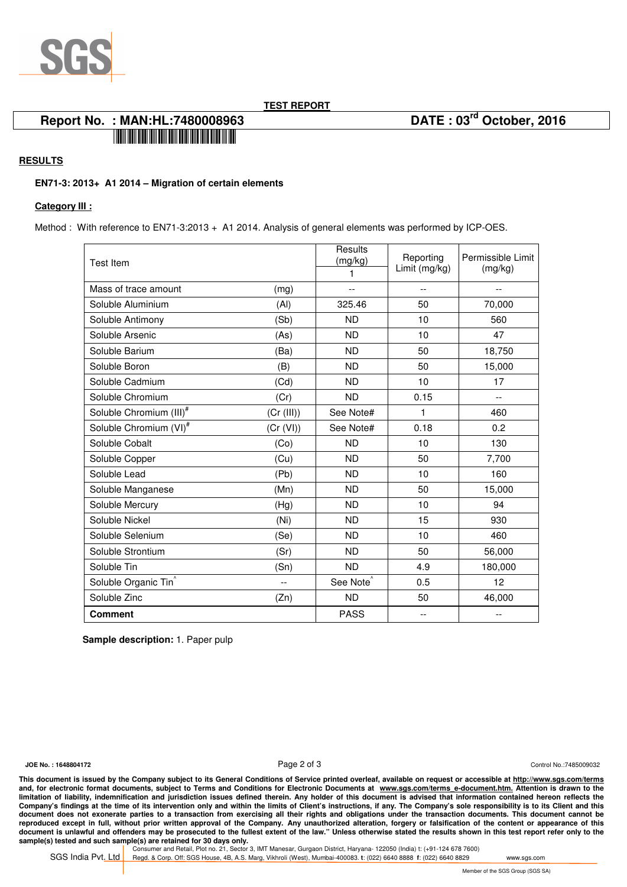

**TEST REPORT** 

## **Report No. : MAN:HL:7480008963 DATE : 03rd October, 2016**  \*7480008963\*

## **RESULTS**

## **EN71-3: 2013+ A1 2014 – Migration of certain elements**

### **Category III :**

Method : With reference to EN71-3:2013 + A1 2014. Analysis of general elements was performed by ICP-OES.

| <b>Test Item</b>                    |            | Results<br>(mg/kg)<br>1 | Reporting<br>Limit (mg/kg) | Permissible Limit<br>(mg/kg) |
|-------------------------------------|------------|-------------------------|----------------------------|------------------------------|
| Mass of trace amount                | (mg)       | $-$                     |                            |                              |
| Soluble Aluminium                   | (AI)       | 325.46                  | 50                         | 70,000                       |
| Soluble Antimony                    | (Sb)       | <b>ND</b>               | 10                         | 560                          |
| Soluble Arsenic                     | (As)       | <b>ND</b>               | 10                         | 47                           |
| Soluble Barium                      | (Ba)       | <b>ND</b>               | 50                         | 18,750                       |
| Soluble Boron                       | (B)        | <b>ND</b>               | 50                         | 15,000                       |
| Soluble Cadmium                     | (Cd)       | <b>ND</b>               | 10                         | 17                           |
| Soluble Chromium                    | (Cr)       | <b>ND</b>               | 0.15                       | $\overline{\phantom{m}}$     |
| Soluble Chromium (III) <sup>#</sup> | (Cr (III)) | See Note#               | 1                          | 460                          |
| Soluble Chromium (VI) <sup>#</sup>  | (Cr (VI))  | See Note#               | 0.18                       | 0.2                          |
| Soluble Cobalt                      | (Co)       | <b>ND</b>               | 10                         | 130                          |
| Soluble Copper                      | (Cu)       | <b>ND</b>               | 50                         | 7,700                        |
| Soluble Lead                        | (Pb)       | <b>ND</b>               | 10                         | 160                          |
| Soluble Manganese                   | (Mn)       | <b>ND</b>               | 50                         | 15,000                       |
| Soluble Mercury                     | (Hg)       | <b>ND</b>               | 10                         | 94                           |
| Soluble Nickel                      | (Ni)       | <b>ND</b>               | 15                         | 930                          |
| Soluble Selenium                    | (Se)       | <b>ND</b>               | 10                         | 460                          |
| Soluble Strontium                   | (Sr)       | <b>ND</b>               | 50                         | 56,000                       |
| Soluble Tin                         | (Sn)       | <b>ND</b>               | 4.9                        | 180,000                      |
| Soluble Organic Tin                 | $-$        | See Note <sup>^</sup>   | 0.5                        | 12                           |
| Soluble Zinc                        | (Zn)       | <b>ND</b>               | 50                         | 46,000                       |
| <b>Comment</b>                      |            | <b>PASS</b>             | $\overline{\phantom{a}}$   | $-$                          |

 **Sample description:** 1. Paper pulp

**JOE No. : 1648804172** Control No.:7485009032

**This document is issued by the Company subject to its General Conditions of Service printed overleaf, available on request or accessible at http://www.sgs.com/terms** and, for electronic format documents, subject to Terms and Conditions for Electronic Documents at www.sgs.com/terms\_e-document.htm. Attention is drawn to the limitation of liability, indemnification and jurisdiction issues defined therein. Any holder of this document is advised that information contained hereon reflects the **Company's findings at the time of its intervention only and within the limits of Client's instructions, if any. The Company's sole responsibility is to its Client and this document does not exonerate parties to a transaction from exercising all their rights and obligations under the transaction documents. This document cannot be reproduced except in full, without prior written approval of the Company. Any unauthorized alteration, forgery or falsification of the content or appearance of this document is unlawful and offenders may be prosecuted to the fullest extent of the law." Unless otherwise stated the results shown in this test report refer only to the sample(s) tested and such sample(s) are retained for 30 days only.**<br>Consumer and Retail, Plot no. 21, Sector 3, IMT Manesar, Gurgaon District, Haryana- 122050 (India) t: (+91-124 678 7600)

SGS India Pvt. Ltd Regd. & Corp. Off: SGS House, 4B, A.S. Marg, Vikhroli (West), Mumbai-400083. **t**: (022) 6640 8888 **f**: (022) 6640 8829 www.sgs.com